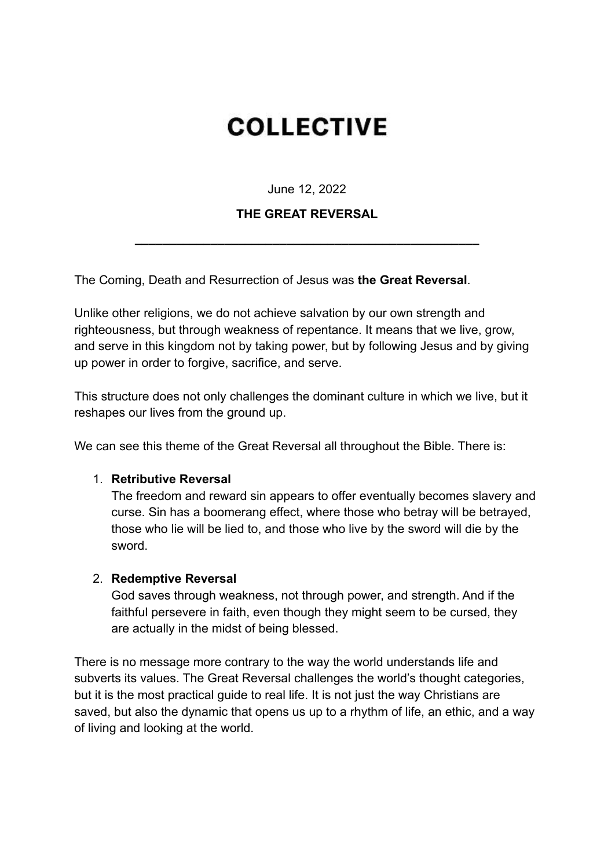# **COLLECTIVE**

June 12, 2022

## **THE GREAT REVERSAL**

**\_\_\_\_\_\_\_\_\_\_\_\_\_\_\_\_\_\_\_\_\_\_\_\_\_\_\_\_\_\_\_\_\_\_\_\_\_\_\_\_\_\_\_\_\_\_\_\_\_\_**

The Coming, Death and Resurrection of Jesus was **the Great Reversal**.

Unlike other religions, we do not achieve salvation by our own strength and righteousness, but through weakness of repentance. It means that we live, grow, and serve in this kingdom not by taking power, but by following Jesus and by giving up power in order to forgive, sacrifice, and serve.

This structure does not only challenges the dominant culture in which we live, but it reshapes our lives from the ground up.

We can see this theme of the Great Reversal all throughout the Bible. There is:

## 1. **Retributive Reversal**

The freedom and reward sin appears to offer eventually becomes slavery and curse. Sin has a boomerang effect, where those who betray will be betrayed, those who lie will be lied to, and those who live by the sword will die by the sword.

#### 2. **Redemptive Reversal**

God saves through weakness, not through power, and strength. And if the faithful persevere in faith, even though they might seem to be cursed, they are actually in the midst of being blessed.

There is no message more contrary to the way the world understands life and subverts its values. The Great Reversal challenges the world's thought categories, but it is the most practical guide to real life. It is not just the way Christians are saved, but also the dynamic that opens us up to a rhythm of life, an ethic, and a way of living and looking at the world.